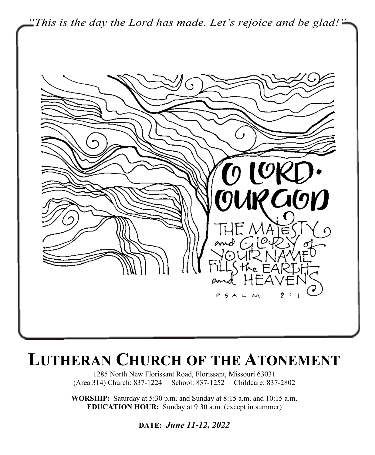

# **LUTHERAN CHURCH OF THE ATONEMENT**

1285 North New Florissant Road, Florissant, Missouri 63031 (Area 314) Church: 837-1224 School: 837-1252 Childcare: 837-2802

**WORSHIP:** Saturday at 5:30 p.m. and Sunday at 8:15 a.m. and 10:15 a.m. **EDUCATION HOUR:** Sunday at 9:30 a.m. (except in summer)

**DATE:** *June 11-12, 2022*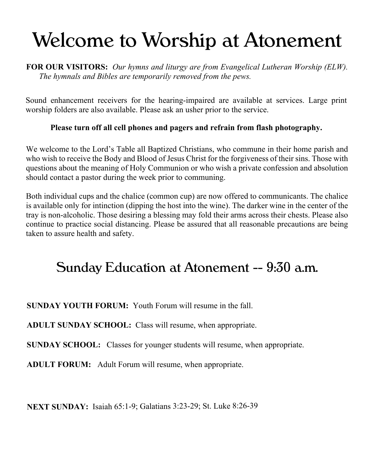# Welcome to Worship at Atonement

**FOR OUR VISITORS:** *Our hymns and liturgy are from Evangelical Lutheran Worship (ELW). The hymnals and Bibles are temporarily removed from the pews.*

Sound enhancement receivers for the hearing-impaired are available at services. Large print worship folders are also available. Please ask an usher prior to the service.

## **Please turn off all cell phones and pagers and refrain from flash photography.**

We welcome to the Lord's Table all Baptized Christians, who commune in their home parish and who wish to receive the Body and Blood of Jesus Christ for the forgiveness of their sins. Those with questions about the meaning of Holy Communion or who wish a private confession and absolution should contact a pastor during the week prior to communing.

Both individual cups and the chalice (common cup) are now offered to communicants. The chalice is available only for intinction (dipping the host into the wine). The darker wine in the center of the tray is non-alcoholic. Those desiring a blessing may fold their arms across their chests. Please also continue to practice social distancing. Please be assured that all reasonable precautions are being taken to assure health and safety.

# Sunday Education at Atonement -- 9:30 a.m.

**SUNDAY YOUTH FORUM:** Youth Forum will resume in the fall.

**ADULT SUNDAY SCHOOL:** Class will resume, when appropriate.

**SUNDAY SCHOOL:** Classes for younger students will resume, when appropriate.

**ADULT FORUM:** Adult Forum will resume, when appropriate.

**NEXT SUNDAY:** Isaiah 65:1-9; Galatians 3:23-29; St. Luke 8:26-39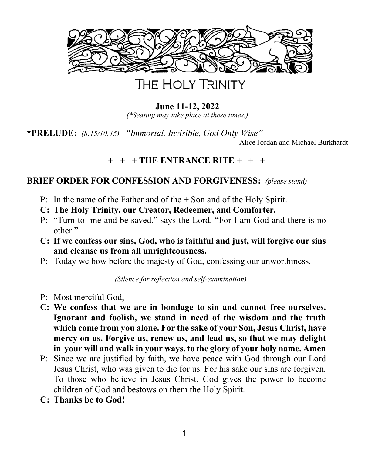

## **June 11-12, 2022**

*(\*Seating may take place at these times.)*

**\*PRELUDE:** *(8:15/10:15) "Immortal, Invisible, God Only Wise"* Alice Jordan and Michael Burkhardt

## **+ + + THE ENTRANCE RITE + + +**

## **BRIEF ORDER FOR CONFESSION AND FORGIVENESS:** *(please stand)*

- P: In the name of the Father and of the + Son and of the Holy Spirit.
- **C: The Holy Trinity, our Creator, Redeemer, and Comforter.**
- P: "Turn to me and be saved," says the Lord. "For I am God and there is no other."
- **C: If we confess our sins, God, who is faithful and just, will forgive our sins and cleanse us from all unrighteousness.**
- P: Today we bow before the majesty of God, confessing our unworthiness.

*(Silence for reflection and self-examination)*

- P: Most merciful God,
- **C: We confess that we are in bondage to sin and cannot free ourselves. Ignorant and foolish, we stand in need of the wisdom and the truth which come from you alone. For the sake of your Son, Jesus Christ, have mercy on us. Forgive us, renew us, and lead us, so that we may delight in your will and walk in your ways, to the glory of your holy name. Amen**
- P: Since we are justified by faith, we have peace with God through our Lord Jesus Christ, who was given to die for us. For his sake our sins are forgiven. To those who believe in Jesus Christ, God gives the power to become children of God and bestows on them the Holy Spirit.
- **C: Thanks be to God!**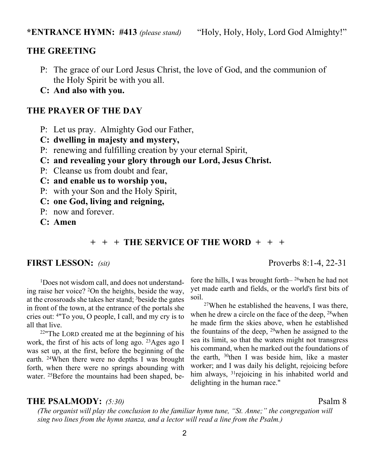## **THE GREETING**

- P: The grace of our Lord Jesus Christ, the love of God, and the communion of the Holy Spirit be with you all.
- **C: And also with you.**

#### **THE PRAYER OF THE DAY**

- P: Let us pray. Almighty God our Father,
- **C: dwelling in majesty and mystery,**
- P: renewing and fulfilling creation by your eternal Spirit,
- **C: and revealing your glory through our Lord, Jesus Christ.**
- P: Cleanse us from doubt and fear,
- **C: and enable us to worship you,**
- P: with your Son and the Holy Spirit,
- **C: one God, living and reigning,**
- P: now and forever.
- **C: Amen**

## **+ + + THE SERVICE OF THE WORD + + +**

## **FIRST LESSON:** *(sit)* Proverbs 8:1-4, 22-31

 1Does not wisdom call, and does not understanding raise her voice? <sup>2</sup>On the heights, beside the way, at the crossroads she takes her stand; <sup>3</sup>beside the gates in front of the town, at the entrance of the portals she cries out: <sup>4</sup>"To you, O people, I call, and my cry is to all that live.

<sup>22</sup>"The LORD created me at the beginning of his work, the first of his acts of long ago. <sup>23</sup>Ages ago I was set up, at the first, before the beginning of the earth. <sup>24</sup>When there were no depths I was brought forth, when there were no springs abounding with water. <sup>25</sup>Before the mountains had been shaped, be-

fore the hills, I was brought forth– <sup>26</sup>when he had not yet made earth and fields, or the world's first bits of soil.

<sup>27</sup>When he established the heavens, I was there, when he drew a circle on the face of the deep, <sup>28</sup>when he made firm the skies above, when he established the fountains of the deep, <sup>29</sup>when he assigned to the sea its limit, so that the waters might not transgress his command, when he marked out the foundations of the earth, <sup>30</sup>then I was beside him, like a master worker; and I was daily his delight, rejoicing before him always, <sup>31</sup>rejoicing in his inhabited world and delighting in the human race."

#### **THE PSALMODY:** *(5:30)* Psalm 8

*(The organist will play the conclusion to the familiar hymn tune, "St. Anne;" the congregation will sing two lines from the hymn stanza, and a lector will read a line from the Psalm.)*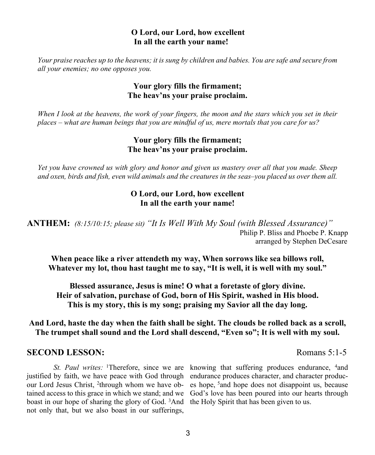#### **O Lord, our Lord, how excellent In all the earth your name!**

*Your praise reaches up to the heavens; it is sung by children and babies. You are safe and secure from all your enemies; no one opposes you.*

## **Your glory fills the firmament; The heav'ns your praise proclaim.**

*When I look at the heavens, the work of your fingers, the moon and the stars which you set in their places – what are human beings that you are mindful of us, mere mortals that you care for us?*

## **Your glory fills the firmament; The heav'ns your praise proclaim.**

*Yet you have crowned us with glory and honor and given us mastery over all that you made. Sheep and oxen, birds and fish, even wild animals and the creatures in the seas–you placed us over them all.*

## **O Lord, our Lord, how excellent In all the earth your name!**

**ANTHEM:** *(8:15/10:15; please sit) "It Is Well With My Soul (with Blessed Assurance)"* Philip P. Bliss and Phoebe P. Knapp arranged by Stephen DeCesare

**When peace like a river attendeth my way, When sorrows like sea billows roll, Whatever my lot, thou hast taught me to say, "It is well, it is well with my soul."**

**Blessed assurance, Jesus is mine! O what a foretaste of glory divine. Heir of salvation, purchase of God, born of His Spirit, washed in His blood. This is my story, this is my song; praising my Savior all the day long.**

**And Lord, haste the day when the faith shall be sight. The clouds be rolled back as a scroll, The trumpet shall sound and the Lord shall descend, "Even so"; It is well with my soul.**

## **SECOND LESSON:** Romans 5:1-5

*St. Paul writes:* <sup>1</sup>Therefore, since we are knowing that suffering produces endurance, <sup>4</sup>and justified by faith, we have peace with God through endurance produces character, and character productained access to this grace in which we stand; and we God's love has been poured into our hearts through boast in our hope of sharing the glory of God. <sup>3</sup>And the Holy Spirit that has been given to us.not only that, but we also boast in our sufferings,

our Lord Jesus Christ, <sup>2</sup>through whom we have ob- es hope, <sup>5</sup>and hope does not disappoint us, because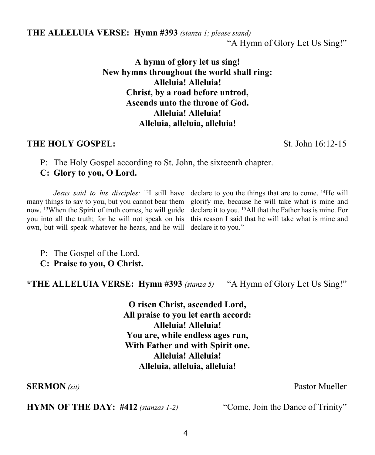**THE ALLELUIA VERSE: Hymn #393** *(stanza 1; please stand)*

"A Hymn of Glory Let Us Sing!"

**A hymn of glory let us sing! New hymns throughout the world shall ring: Alleluia! Alleluia! Christ, by a road before untrod, Ascends unto the throne of God. Alleluia! Alleluia! Alleluia, alleluia, alleluia!**

## **THE HOLY GOSPEL:** St. John 16:12-15

P: The Holy Gospel according to St. John, the sixteenth chapter. **C: Glory to you, O Lord.**

*Jesus said to his disciples*: <sup>12</sup>I still have declare to you the things that are to come. <sup>14</sup>He will many things to say to you, but you cannot bear them glorify me, because he will take what is mine and now. <sup>13</sup>When the Spirit of truth comes, he will guide declare it to you. <sup>15</sup>All that the Father has is mine. For you into all the truth; for he will not speak on his this reason I said that he will take what is mine and own, but will speak whatever he hears, and he will declare it to you."

P: The Gospel of the Lord.

**C: Praise to you, O Christ.**

**\*THE ALLELUIA VERSE: Hymn #393** *(stanza 5)* "A Hymn of Glory Let Us Sing!"

**O risen Christ, ascended Lord, All praise to you let earth accord: Alleluia! Alleluia! You are, while endless ages run, With Father and with Spirit one. Alleluia! Alleluia! Alleluia, alleluia, alleluia!**

**SERMON** (sit) **Pastor Mueller** 

**HYMN OF THE DAY:** #412 *(stanzas 1-2)* "Come, Join the Dance of Trinity"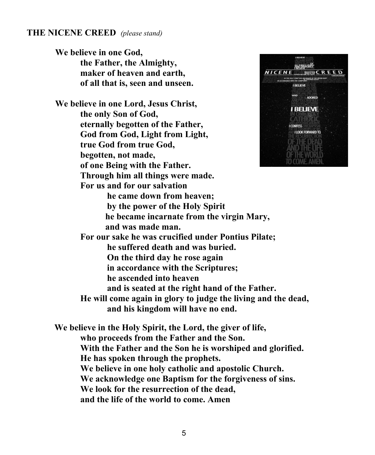#### **THE NICENE CREED** *(please stand)*

**We believe in one God, the Father, the Almighty, maker of heaven and earth, of all that is, seen and unseen.**

**We believe in one Lord, Jesus Christ, the only Son of God, eternally begotten of the Father, God from God, Light from Light, true God from true God, begotten, not made, of one Being with the Father. Through him all things were made. For us and for our salvation**



 **he came down from heaven; by the power of the Holy Spirit he became incarnate from the virgin Mary, and was made man. For our sake he was crucified under Pontius Pilate; he suffered death and was buried. On the third day he rose again in accordance with the Scriptures; he ascended into heaven and is seated at the right hand of the Father. He will come again in glory to judge the living and the dead, and his kingdom will have no end.**

**We believe in the Holy Spirit, the Lord, the giver of life, who proceeds from the Father and the Son. With the Father and the Son he is worshiped and glorified. He has spoken through the prophets. We believe in one holy catholic and apostolic Church. We acknowledge one Baptism for the forgiveness of sins. We look for the resurrection of the dead, and the life of the world to come. Amen**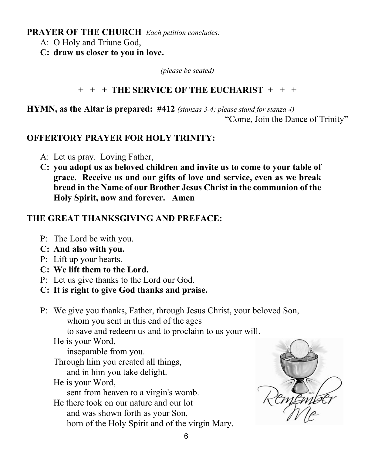## **PRAYER OF THE CHURCH** *Each petition concludes:*

- A: O Holy and Triune God,
- **C: draw us closer to you in love.**

*(please be seated)*

## **+ + + THE SERVICE OF THE EUCHARIST + + +**

**HYMN, as the Altar is prepared: #412** *(stanzas 3-4; please stand for stanza 4)* "Come, Join the Dance of Trinity"

## **OFFERTORY PRAYER FOR HOLY TRINITY:**

- A: Let us pray. Loving Father,
- **C: you adopt us as beloved children and invite us to come to your table of grace. Receive us and our gifts of love and service, even as we break bread in the Name of our Brother Jesus Christ in the communion of the Holy Spirit, now and forever. Amen**

## **THE GREAT THANKSGIVING AND PREFACE:**

- P: The Lord be with you.
- **C: And also with you.**
- P: Lift up your hearts.
- **C: We lift them to the Lord.**
- P: Let us give thanks to the Lord our God.
- **C: It is right to give God thanks and praise.**
- P: We give you thanks, Father, through Jesus Christ, your beloved Son, whom you sent in this end of the ages

to save and redeem us and to proclaim to us your will.

He is your Word,

inseparable from you.

Through him you created all things,

and in him you take delight.

He is your Word,

sent from heaven to a virgin's womb.

He there took on our nature and our lot and was shown forth as your Son, born of the Holy Spirit and of the virgin Mary.

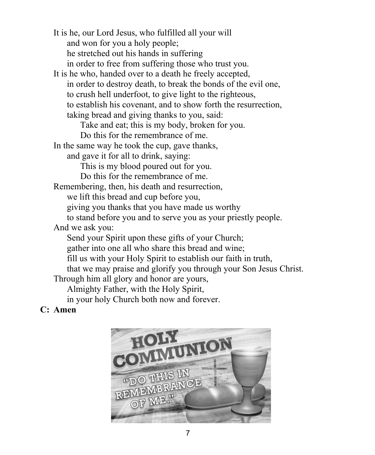It is he, our Lord Jesus, who fulfilled all your will and won for you a holy people; he stretched out his hands in suffering in order to free from suffering those who trust you.

It is he who, handed over to a death he freely accepted, in order to destroy death, to break the bonds of the evil one, to crush hell underfoot, to give light to the righteous, to establish his covenant, and to show forth the resurrection, taking bread and giving thanks to you, said:

Take and eat; this is my body, broken for you.

Do this for the remembrance of me.

In the same way he took the cup, gave thanks,

and gave it for all to drink, saying:

This is my blood poured out for you.

Do this for the remembrance of me.

Remembering, then, his death and resurrection,

we lift this bread and cup before you,

giving you thanks that you have made us worthy

to stand before you and to serve you as your priestly people.

And we ask you:

Send your Spirit upon these gifts of your Church;

gather into one all who share this bread and wine;

fill us with your Holy Spirit to establish our faith in truth,

that we may praise and glorify you through your Son Jesus Christ.

Through him all glory and honor are yours,

Almighty Father, with the Holy Spirit,

in your holy Church both now and forever.

## **C: Amen**

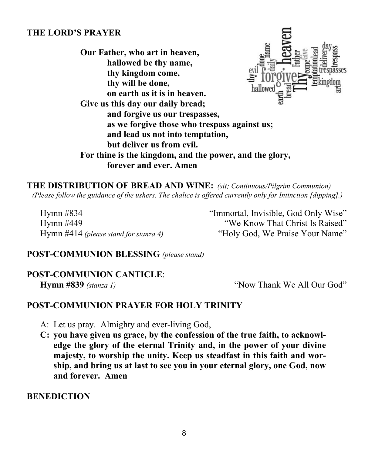## **THE LORD'S PRAYER**

**Our Father, who art in heaven, hallowed be thy name, thy kingdom come, thy will be done, on earth as it is in heaven. Give us this day our daily bread; and forgive us our trespasses, as we forgive those who trespass against us; and lead us not into temptation, but deliver us from evil. For thine is the kingdom, and the power, and the glory, forever and ever. Amen**

**THE DISTRIBUTION OF BREAD AND WINE:** *(sit; Continuous/Pilgrim Communion) (Please follow the guidance of the ushers. The chalice is offered currently only for Intinction [dipping].)*

Hymn #834 "Immortal, Invisible, God Only Wise"

Hymn #449 "We Know That Christ Is Raised" Hymn #414 *(please stand for stanza 4)* "Holy God, We Praise Your Name"

## **POST-COMMUNION BLESSING** *(please stand)*

## **POST-COMMUNION CANTICLE**:

**Hymn #839** *(stanza 1)* "Now Thank We All Our God"

## **POST-COMMUNION PRAYER FOR HOLY TRINITY**

- A: Let us pray. Almighty and ever-living God,
- **C: you have given us grace, by the confession of the true faith, to acknowledge the glory of the eternal Trinity and, in the power of your divine majesty, to worship the unity. Keep us steadfast in this faith and worship, and bring us at last to see you in your eternal glory, one God, now and forever. Amen**

#### **BENEDICTION**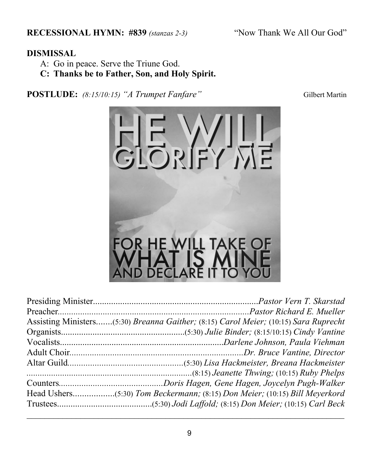**RECESSIONAL HYMN: #839** *(stanzas 2-3)* "Now Thank We All Our God"

A: Go in peace. Serve the Triune God.

**C: Thanks be to Father, Son, and Holy Spirit.**

POSTLUDE:  $(8.15/10.15)$  "A Trumpet Fanfare" Gilbert Martin

| Assisting Ministers(5:30) Breanna Gaither; (8:15) Carol Meier; (10:15) Sara Ruprecht |
|--------------------------------------------------------------------------------------|
|                                                                                      |
|                                                                                      |
|                                                                                      |
|                                                                                      |
|                                                                                      |
|                                                                                      |
|                                                                                      |
|                                                                                      |

デイン

 $|D|$ 



\_\_\_\_\_\_\_\_\_\_\_\_\_\_\_\_\_\_\_\_\_\_\_\_\_\_\_\_\_\_\_\_\_\_\_\_\_\_\_\_\_\_\_\_\_\_\_\_\_\_\_\_\_\_\_\_\_\_\_\_\_\_\_\_\_\_\_\_\_\_\_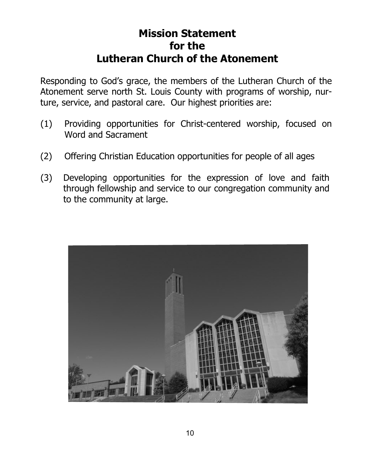## **Mission Statement for the Lutheran Church of the Atonement**

Responding to God's grace, the members of the Lutheran Church of the Atonement serve north St. Louis County with programs of worship, nurture, service, and pastoral care. Our highest priorities are:

- (1) Providing opportunities for Christ-centered worship, focused on Word and Sacrament
- (2) Offering Christian Education opportunities for people of all ages
- (3) Developing opportunities for the expression of love and faith through fellowship and service to our congregation community and to the community at large.

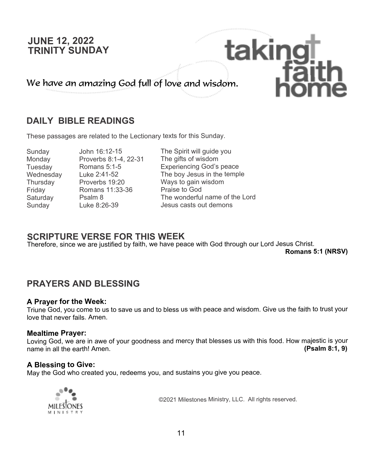## **JUNE 12, 2022 TRINITY SUNDAY**

We have an amazing God full of love and wisdom.

## **DAILY BIBLE READINGS**

These passages are related to the Lectionary texts for this Sunday.

Monday Proverbs 8:1-4, 22-31<br>Tuesdav Romans 5:1-5 Friday Romans 11:33-36<br>Saturday Psalm 8

Sunday John 16:12-15 The Spirit will guide you<br>Monday Proverbs 8:1-4, 22-31 The gifts of wisdom Tuesday Romans 5:1-5 Experiencing God's peace Wednesday Luke 2:41-52 The boy Jesus in the temple<br>Thursday Proverbs 19:20 Ways to gain wisdom Thursday Proverbs 19:20 Ways to gain wisdom<br>
Priday Romans 11:33-36 Praise to God Saturday Psalm 8 The wonderful name of the Lord<br>Sunday I uke 8:26-39 Jesus casts out demons Sunday Luke 8:26-39 Jesus casts out demons

taking

## **SCRIPTURE VERSE FOR THIS WEEK**

Therefore, since we are justified by faith, we have peace with God through our Lord Jesus Christ.

**Romans 5:1 (NRSV)**

## **PRAYERS AND BLESSING**

#### **A Prayer for the Week:**

Triune God, you come to us to save us and to bless us with peace and wisdom. Give us the faith to trust your love that never fails. Amen.

#### **Mealtime Prayer:**

Loving God, we are in awe of your goodness and mercy that blesses us with this food. How majestic is your name in all the earth! Amen. **(Psalm 8:1, 9)**

## **A Blessing to Give:**

May the God who created you, redeems you, and sustains you give you peace.



©2021 Milestones Ministry, LLC. All rights reserved.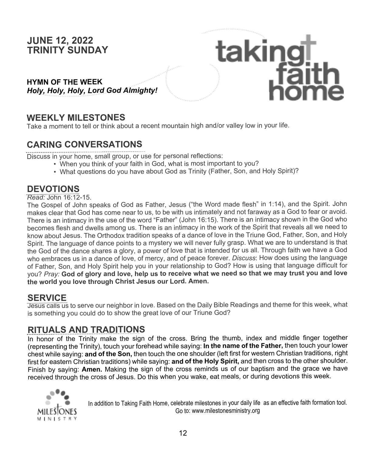## **JUNE 12, 2022 TRINITY SUNDAY**

#### **HYMN OF THE WEEK** *Holy, Holy, Holy, Lord God Almighty!*

## **WEEKLY MILESTONES**

Take a moment to tell or think about a recent mountain high and/or valley low in your life.

## **CARING CONVERSATIONS**

Discuss in your home, small group, or use for personal reflections:

- When you think of your faith in God, what is most important to you?
- What questions do you have about God as Trinity (Father, Son, and Holy Spirit)?

taking†<br>Faith<br>home

## **DEVOTIONS**

*Read:* John 16:12-15.

The Gospel of John speaks of God as Father, Jesus ("the Word made flesh" in 1:14), and the Spirit. John makes clear that God has come near to us, to be with us intimately and not faraway as a God to fear or avoid. There is an intimacy in the use of the word "Father" (John 16:15). There is an intimacy shown in the God who becomes flesh and dwells among us. There is an intimacy in the work of the Spirit that reveals all we need to know about Jesus. The Orthodox tradition speaks of a dance of love in the Triune God, Father, Son, and Holy Spirit. The language of dance points to a mystery we will never fully grasp. What we are to understand is that the God of the dance shares a glory, a power of love that is intended for us all. Through faith we have a God who embraces us in a dance of love, of mercy, and of peace forever. *Discuss*: How does using the language of Father, Son, and Holy Spirit help you in your relationship to God? How is using that language difficult for you? *Pray:* **God of glory and love, help us to receive what we need so that we may trust you and love the world you love through Christ Jesus our Lord. Amen.**

## **SERVICE**

Jesus calls us to serve our neighbor in love. Based on the Daily Bible Readings and theme for this week, what is something you could do to show the great love of our Triune God?

## **RITUALS AND TRADITIONS**

In honor of the Trinity make the sign of the cross. Bring the thumb, index and middle finger together (representing the Trinity), touch your forehead while saying: **In the name of the Father,** then touch your lower chest while saying: **and of the Son,** then touch the one shoulder (left first for western Christian traditions, right first for eastern Christian traditions) while saying: **and of the Holy Spirit,** and then cross to the other shoulder. Finish by saying: **Amen.** Making the sign of the cross reminds us of our baptism and the grace we have received through the cross of Jesus. Do this when you wake, eat meals, or during devotions this week.



In addition to Taking Faith Home, celebrate milestones in your daily life as an effective faith formation tool. Go to: www.milestonesministry.org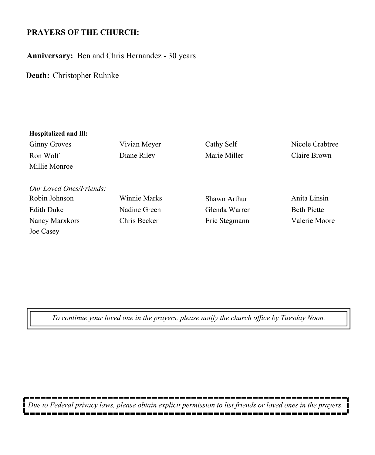## **PRAYERS OF THE CHURCH:**

**Anniversary:** Ben and Chris Hernandez - 30 years

**Death:** Christopher Ruhnke

| Hospitalized and Ill:   |              |               |                    |
|-------------------------|--------------|---------------|--------------------|
| <b>Ginny Groves</b>     | Vivian Meyer | Cathy Self    | Nicole Crabtree    |
| Ron Wolf                | Diane Riley  | Marie Miller  | Claire Brown       |
| Millie Monroe           |              |               |                    |
|                         |              |               |                    |
| Our Loved Ones/Friends: |              |               |                    |
| Robin Johnson           | Winnie Marks | Shawn Arthur  | Anita Linsin       |
| <b>Edith Duke</b>       | Nadine Green | Glenda Warren | <b>Beth Piette</b> |
| Nancy Marxkors          | Chris Becker | Eric Stegmann | Valerie Moore      |
| Joe Casey               |              |               |                    |

*To continue your loved one in the prayers, please notify the church office by Tuesday Noon.*

-----*Due to Federal privacy laws, please obtain explicit permission to list friends or loved ones in the prayers.*  $\blacksquare$